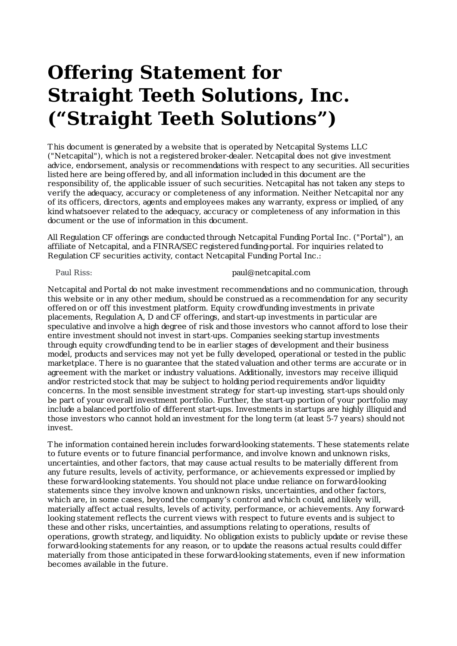# **Offering Statement for Straight Teeth Solutions, Inc. ("Straight Teeth Solutions")**

This document is generated by a website that is operated by Netcapital Systems LLC ("Netcapital"), which is not a registered broker-dealer. Netcapital does not give investment advice, endorsement, analysis or recommendations with respect to any securities. All securities listed here are being offered by, and all information included in this document are the responsibility of, the applicable issuer of such securities. Netcapital has not taken any steps to verify the adequacy, accuracy or completeness of any information. Neither Netcapital nor any of its officers, directors, agents and employees makes any warranty, express or implied, of any kind whatsoever related to the adequacy, accuracy or completeness of any information in this document or the use of information in this document.

All Regulation CF offerings are conducted through Netcapital Funding Portal Inc. ("Portal"), an affiliate of Netcapital, and a FINRA/SEC registered funding-portal. For inquiries related to Regulation CF securities activity, contact Netcapital Funding Portal Inc.:

#### Paul Riss:

## paul@netcapital.com

Netcapital andPortal do not make investment recommendations and no communication, through this website or in any other medium, should be construed as a recommendation for any security offered on or off this investment platform. Equity crowdfunding investments in private placements, Regulation A, D and CF offerings, and start-up investments in particular are speculative and involve a high degree of risk and those investors who cannot afford to lose their entire investment should not invest in start-ups. Companies seeking startup investments through equity crowdfunding tend to be in earlier stages of development and their business model, products and services may not yet be fully developed, operational or tested in the public marketplace. There is no guarantee that the stated valuation and other terms are accurate or in agreement with the market or industry valuations. Additionally, investors may receive illiquid and/or restricted stock that may be subject to holding period requirements and/or liquidity concerns. In the most sensible investment strategy for start-up investing, start-ups should only be part of your overall investment portfolio. Further, the start-up portion of your portfolio may include a balanced portfolio of different start-ups. Investments in startups are highly illiquid and those investors who cannot hold an investment for the long term (at least 5-7 years) should not invest.

The information contained herein includes forward-looking statements. These statements relate to future events or to future financial performance, and involve known and unknown risks, uncertainties, and other factors, that may cause actual results to be materially different from any future results, levels of activity, performance, or achievements expressed or implied by these forward-looking statements. You should not place undue reliance on forward-looking statements since they involve known and unknown risks, uncertainties, and other factors, which are, in some cases, beyond the company's control and which could, and likely will, materially affect actual results, levels of activity, performance, or achievements. Any forwardlooking statement reflects the current views with respect to future events and is subject to these and other risks, uncertainties, and assumptions relating to operations, results of operations, growth strategy, and liquidity. No obligation exists to publicly update or revise these forward-looking statements for any reason, or to update the reasons actual results could differ materially from those anticipated in these forward-looking statements, even if new information becomes available in the future.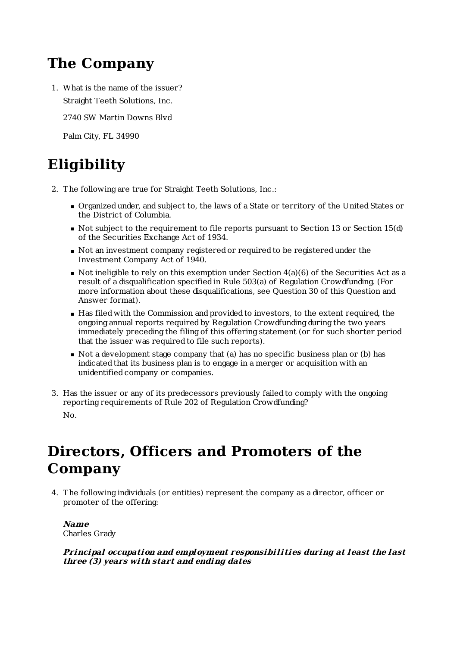# **The Company**

1. What is the name of the issuer? Straight Teeth Solutions, Inc.

2740 SW Martin Downs Blvd

Palm City, FL 34990

# **Eligibility**

- 2. The following are true for Straight Teeth Solutions, Inc.:
	- Organized under, and subject to, the laws of a State or territory of the United States or the District of Columbia.
	- Not subject to the requirement to file reports pursuant to Section 13 or Section 15(d) of the Securities Exchange Act of 1934.
	- Not an investment company registered or required to be registered under the Investment Company Act of 1940.
	- $\blacksquare$  Not ineligible to rely on this exemption under Section  $4(a)(6)$  of the Securities Act as a result of a disqualification specified in Rule 503(a) of Regulation Crowdfunding. (For more information about these disqualifications, see Question 30 of this Question and Answer format).
	- Has filed with the Commission and provided to investors, to the extent required, the ongoing annual reports required by Regulation Crowdfunding during the two years immediately preceding the filing of this offering statement (or for such shorter period that the issuer was required to file such reports).
	- Not a development stage company that (a) has no specific business plan or (b) has indicated that its business plan is to engage in a merger or acquisition with an unidentified company or companies.
- 3. Has the issuer or any of its predecessors previously failed to comply with the ongoing reporting requirements of Rule 202 of Regulation Crowdfunding? No.

# **Directors, Officers and Promoters of the Company**

4. The following individuals (or entities) represent the company as a director, officer or promoter of the offering:

## **Name** Charles Grady

## **Principal occupation and employment responsibili ties during at least the last three (3) years wi th start and ending dates**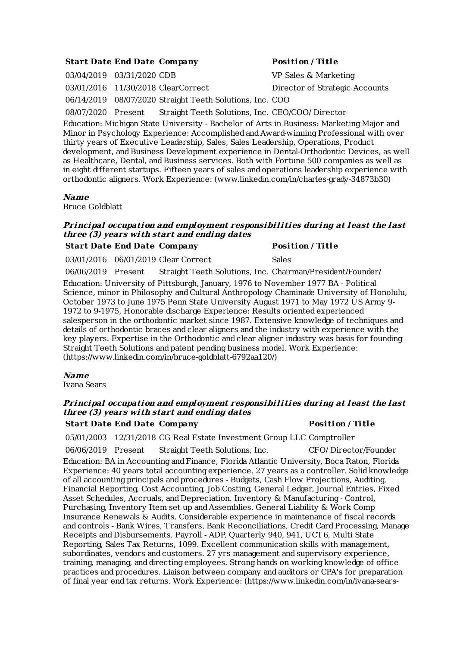## **Start Date End Date Company Posi tion / Ti tle**

03/04/2019 03/31/2020 CDB VP Sales & Marketing 03/01/2016 11/30/2018 ClearCorrect Director of Strategic Accounts 06/14/2019 08/07/2020 Straight Teeth Solutions, Inc. COO 08/07/2020 Present Straight Teeth Solutions, Inc. CEO/COO/ Director

Education: Michigan State University - Bachelor of Arts in Business: MarketingMajor and Minor in Psychology Experience: Accomplished and Award-winning Professional with over thirty years of Executive Leadership, Sales, Sales Leadership, Operations, Product development, and Business Development experience in Dental-Orthodontic Devices, as well as Healthcare, Dental, and Business services. Both with Fortune 500 companies as well as in eight different startups. Fifteen years of sales and operations leadership experience with orthodontic aligners. Work Experience: (www.linkedin.com/in/charles-grady-34873b30)

#### **Name**

Bruce Goldblatt

## **Principal occupation and employment responsibili ties during at least the last three (3) years wi th start and ending dates**

## **Start Date End Date Company Posi tion / Ti tle**

03/01/2016 06/01/2019 Clear Correct Sales

06/06/2019 Present Straight Teeth Solutions, Inc. Chairman/President/Founder/

Education: University of Pittsburgh, January, 1976 to November 1977 BA - Political Science, minor in Philosophy and Cultural Anthropology Chaminade University of Honolulu, October 1973 to June 1975 Penn State University August 1971 to May 1972 US Army 9- 1972 to 9-1975, Honorable discharge Experience: Results oriented experienced salesperson in the orthodontic market since 1987. Extensive knowledge of techniques and details of orthodontic braces and clear aligners and the industry with experience with the key players. Expertise in the Orthodontic and clear aligner industry was basis for founding Straight Teeth Solutions and patent pending business model. Work Experience: (https://www.linkedin.com/in/bruce-goldblatt-6792aa120/)

## **Name**

Ivana Sears

## **Principal occupation and employment responsibili ties during at least the last three (3) years wi th start and ending dates**

## **Start Date End Date Company Posi tion / Ti tle**

05/01/2003 12/31/2018 CG Real Estate Investment Group LLC Comptroller

06/06/2019 Present Straight Teeth Solutions, Inc. CFO/ Director/Founder

Education: BA in Accounting and Finance, Florida Atlantic University, Boca Raton, Florida Experience: 40 years total accounting experience. 27 years as a controller. Solid knowledge of all accounting principals and procedures - Budgets, Cash Flow Projections, Auditing, Financial Reporting, Cost Accounting, Job Costing, General Ledger, Journal Entries, Fixed Asset Schedules, Accruals, and Depreciation. Inventory & Manufacturing - Control, Purchasing, Inventory Item set up and Assemblies. General Liability & Work Comp Insurance Renewals & Audits. Considerable experience in maintenance of fiscal records and controls - Bank Wires, Transfers, Bank Reconciliations, Credit CardProcessing, Manage Receipts and Disbursements. Payroll - ADP, Quarterly 940, 941, UCT6, Multi State Reporting, Sales Tax Returns, 1099. Excellent communication skills with management, subordinates, vendors and customers. 27 yrs management and supervisory experience, training, managing, and directing employees. Strong hands on working knowledge of office practices and procedures. Liaison between company and auditors or CPA's for preparation of final year end tax returns. Work Experience: (https://www.linkedin.com/in/ivana-sears-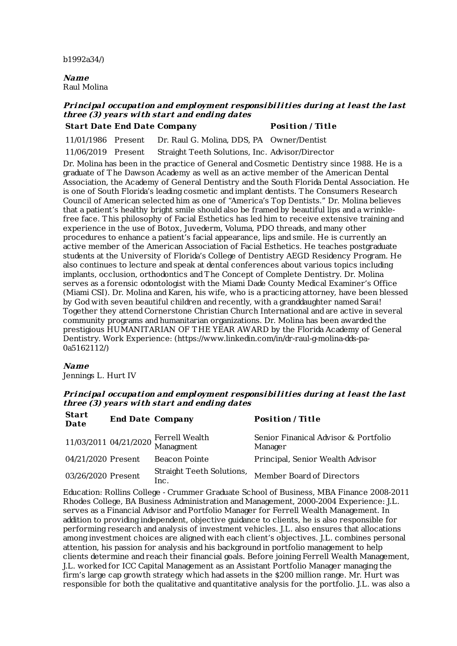b1992a34/)

**Name** Raul Molina

## **Principal occupation and employment responsibili ties during at least the last three (3) years wi th start and ending dates Start Date End Date Company Posi tion / Ti tle**

11/01/1986 Present Dr. Raul G. Molina, DDS, PA Owner/Dentist

11/06/2019 Present Straight Teeth Solutions, Inc. Advisor/Director

Dr. Molina has been in the practice of General and Cosmetic Dentistry since 1988. He is a graduate of The Dawson Academy as well as an active member of the American Dental Association, the Academy of General Dentistry and the South Florida Dental Association. He is one of South Florida's leading cosmetic and implant dentists. The Consumers Research Council of American selected him as one of "America's Top Dentists." Dr. Molina believes that a patient's healthy bright smile should also be framed by beautiful lips and a wrinklefree face. This philosophy of Facial Esthetics has led him to receive extensive training and experience in the use of Botox, Juvederm, Voluma, PDO threads, and many other procedures to enhance a patient's facial appearance, lips and smile. He is currently an active member of the American Association of Facial Esthetics. He teaches postgraduate students at the University of Florida's College of Dentistry AEGD Residency Program. He also continues to lecture and speak at dental conferences about various topics including implants, occlusion, orthodontics andThe Concept of Complete Dentistry. Dr. Molina serves as a forensic odontologist with the Miami Dade County Medical Examiner's Office (Miami CSI). Dr. Molina and Karen, his wife, who is a practicing attorney, have been blessed by God with seven beautiful children and recently, with a granddaughter named Sarai! Together they attend Cornerstone Christian Church International and are active in several community programs and humanitarian organizations. Dr. Molina has been awarded the prestigious HUMANITARIAN OF THE YEAR AWARD by the Florida Academy of General Dentistry. Work Experience: (https://www.linkedin.com/in/dr-raul-g-molina-dds-pa-0a5162112/)

#### **Name**

Jennings L. Hurt IV

## **Principal occupation and employment responsibili ties during at least the last three (3) years wi th start and ending dates**

| <b>Start</b><br>Date | <b>End Date Company</b> |                                                   | <b>Position</b> / Title                         |
|----------------------|-------------------------|---------------------------------------------------|-------------------------------------------------|
|                      |                         | 11/03/2011 04/21/2020 Ferrell Wealth<br>Managment | Senior Finanical Advisor & Portfolio<br>Manager |
| 04/21/2020 Present   |                         | Beacon Pointe                                     | Principal, Senior Wealth Advisor                |
| 03/26/2020 Present   |                         | Straight Teeth Solutions,<br>Inc.                 | Member Board of Directors                       |

Education: Rollins College - Crummer Graduate School of Business, MBA Finance 2008-2011 Rhodes College, BA Business Administration andManagement, 2000-2004 Experience: J.L. serves as a Financial Advisor and Portfolio Manager for Ferrell Wealth Management. In addition to providing independent, objective guidance to clients, he is also responsible for performing research and analysis of investment vehicles. J.L. also ensures that allocations among investment choices are aligned with each client's objectives. J.L. combines personal attention, his passion for analysis and his background in portfolio management to help clients determine and reach their financial goals. Before joining Ferrell Wealth Management, J.L. worked for ICC Capital Management as an Assistant Portfolio Manager managing the firm's large cap growth strategy which had assets in the \$200 million range. Mr. Hurt was responsible for both the qualitative and quantitative analysis for the portfolio. J.L. was also a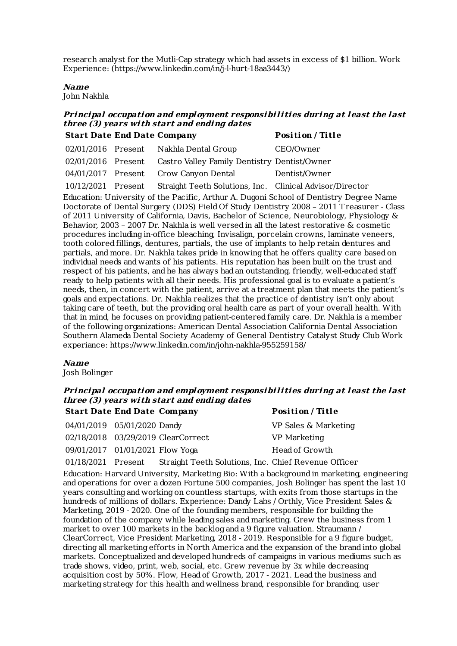research analyst for the Mutli-Cap strategy which had assets in excess of \$1 billion. Work Experience: (https://www.linkedin.com/in/j-l-hurt-18aa3443/)

## **Name**

John Nakhla

## **Principal occupation and employment responsibili ties during at least the last three (3) years wi th start and ending dates Start Date End Date Company Posi tion / Ti tle**

|                    |                                                                 | $-$ 001 010 11 12 101 0 |
|--------------------|-----------------------------------------------------------------|-------------------------|
|                    | 02/01/2016 Present Nakhla Dental Group                          | CEO/Owner               |
|                    | 02/01/2016 Present Castro Valley Family Dentistry Dentist/Owner |                         |
|                    | 04/01/2017 Present Crow Canyon Dental                           | Dentist/Owner           |
| 10/12/2021 Present | Straight Teeth Solutions, Inc. Clinical Advisor/Director        |                         |

Education: University of the Pacific, Arthur A. Dugoni School of Dentistry Degree Name Doctorate of Dental Surgery (DDS) Field Of Study Dentistry 2008 – 2011 Treasurer - Class of 2011 University of California, Davis, Bachelor of Science, Neurobiology, Physiology & Behavior, 2003 – 2007 Dr. Nakhla is well versed in all the latest restorative & cosmetic procedures including in-office bleaching, Invisalign, porcelain crowns, laminate veneers, tooth colored fillings, dentures, partials, the use of implants to help retain dentures and partials, and more. Dr. Nakhla takes pride in knowing that he offers quality care based on individual needs and wants of his patients. His reputation has been built on the trust and respect of his patients, and he has always had an outstanding, friendly, well-educated staff ready to help patients with all their needs. His professional goal is to evaluate a patient's needs, then, in concert with the patient, arrive at a treatment plan that meets the patient's goals and expectations. Dr. Nakhla realizes that the practice of dentistry isn't only about taking care of teeth, but the providing oral health care as part of your overall health. With that in mind, he focuses on providing patient-centered family care. Dr. Nakhla is a member of the following organizations: American Dental Association California Dental Association Southern Alameda Dental Society Academy of General Dentistry Catalyst Study Club Work experiance: https://www.linkedin.com/in/john-nakhla-955259158/

#### **Name**

Josh Bolinger

## **Principal occupation and employment responsibili ties during at least the last three (3) years wi th start and ending dates**

| <b>Start Date End Date Company</b> |                                    | Position / Title     |
|------------------------------------|------------------------------------|----------------------|
| 04/01/2019 05/01/2020 Dandy        |                                    | VP Sales & Marketing |
|                                    | 02/18/2018 03/29/2019 ClearCorrect | VP Marketing         |
| 09/01/2017 01/01/2021 Flow Yoga    |                                    | Head of Growth       |

01/18/2021 Present Straight Teeth Solutions, Inc. Chief Revenue Officer

Education: Harvard University, Marketing Bio: With a background in marketing, engineering and operations for over a dozen Fortune 500 companies, Josh Bolinger has spent the last 10 years consulting and working on countless startups, with exits from those startups in the hundreds of millions of dollars. Experience: Dandy Labs / Orthly, Vice President Sales & Marketing, 2019 - 2020. One of the founding members, responsible for building the foundation of the company while leading sales and marketing. Grew the business from 1 market to over 100 markets in the backlog and a 9 figure valuation. Straumann / ClearCorrect, Vice President Marketing, 2018 - 2019. Responsible for a 9 figure budget. directing all marketing efforts in North America and the expansion of the brand into global markets. Conceptualized and developed hundreds of campaigns in various mediums such as trade shows, video, print, web, social, etc. Grew revenue by 3x while decreasing acquisition cost by 50%. Flow, Head of Growth, 2017 - 2021. Lead the business and marketing strategy for this health and wellness brand, responsible for branding, user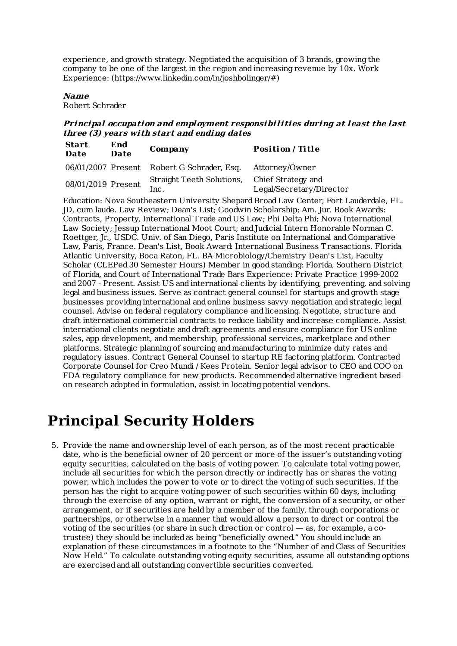experience, and growth strategy. Negotiated the acquisition of 3 brands, growing the company to be one of the largest in the region and increasing revenue by 10x. Work Experience: (https://www.linkedin.com/in/joshbolinger/#)

#### **Name**

Robert Schrader

## **Principal occupation and employment responsibili ties during at least the last three (3) years wi th start and ending dates**

| <b>Start</b><br>Date | End<br>Date | Company                                              | Position / Title         |
|----------------------|-------------|------------------------------------------------------|--------------------------|
|                      |             | 06/01/2007 Present Robert G Schrader, Esq.           | Attorney/Owner           |
| 08/01/2019 Present   |             | Straight Teeth Solutions, Chief Strategy and<br>Inc. | Legal/Secretary/Director |

Education: Nova Southeastern University Shepard Broad Law Center, Fort Lauderdale, FL. JD, cum laude. Law Review; Dean's List; Goodwin Scholarship; Am. Jur. Book Awards: Contracts, Property, International Trade and US Law; Phi Delta Phi; Nova International Law Society; Jessup International Moot Court; and Judicial Intern Honorable Norman C. Roettger, Jr., USDC. Univ. of San Diego, Paris Institute on International and Comparative Law, Paris, France. Dean's List, Book Award: International Business Transactions. Florida Atlantic University, Boca Raton, FL. BA Microbiology/Chemistry Dean's List, Faculty Scholar (CLEPed 30 Semester Hours) Member in good standing: Florida, Southern District of Florida, and Court of International Trade Bars Experience: Private Practice 1999-2002 and 2007 - Present. Assist US and international clients by identifying, preventing, and solving legal and business issues. Serve as contract general counsel for startups and growth stage businesses providing international and online business savvy negotiation and strategic legal counsel. Advise on federal regulatory compliance and licensing. Negotiate, structure and draft international commercial contracts to reduce liability and increase compliance. Assist international clients negotiate and draft agreements and ensure compliance for US online sales, app development, and membership, professional services, marketplace and other platforms. Strategic planning of sourcing and manufacturing to minimize duty rates and regulatory issues. Contract General Counsel to startup RE factoring platform. Contracted Corporate Counsel for Creo Mundi / Kees Protein. Senior legal advisor to CEO and COO on FDA regulatory compliance for new products. Recommended alternative ingredient based on research adopted in formulation, assist in locating potential vendors.

# **Principal Security Holders**

5. Provide the name and ownership level of each person, as of the most recent practicable date, who is the beneficial owner of 20 percent or more of the issuer's outstanding voting equity securities, calculated on the basis of voting power. To calculate total voting power, include all securities for which the person directly or indirectly has or shares the voting power, which includes the power to vote or to direct the voting of such securities. If the person has the right to acquire voting power of such securities within 60 days, including through the exercise of any option, warrant or right, the conversion of a security, or other arrangement, or if securities are held by a member of the family, through corporations or partnerships, or otherwise in a manner that would allow a person to direct or control the voting of the securities (or share in such direction or control — as, for example, a cotrustee) they should be included as being "beneficially owned." You should include an explanation of these circumstances in a footnote to the "Number of and Class of Securities Now Held." To calculate outstanding voting equity securities, assume all outstanding options are exercised and all outstanding convertible securities converted.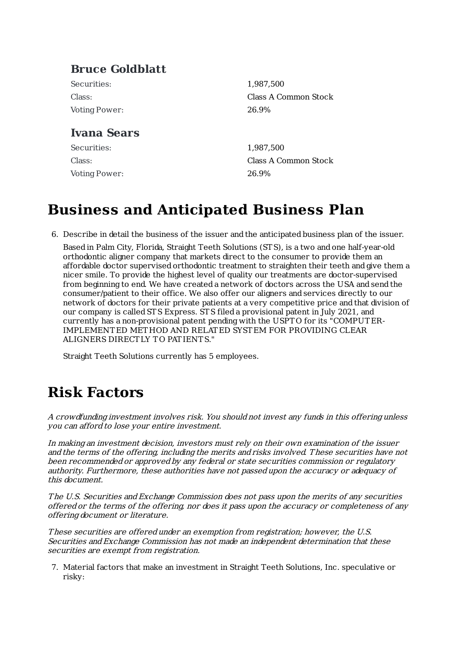# **Bruce Goldblatt**

Securities: Class: Voting Power:

# **Ivana Sears**

Securities: Class: Voting Power:

1,987,500 Class A Common Stock 26.9%

1,987,500 Class A Common Stock 26.9%

# **Business and Anticipated Business Plan**

6. Describe in detail the business of the issuer and the anticipated business plan of the issuer.

Based in Palm City, Florida, Straight Teeth Solutions (STS), is a two and one half-year-old orthodontic aligner company that markets direct to the consumer to provide them an affordable doctor supervised orthodontic treatment to straighten their teeth and give them a nicer smile. To provide the highest level of quality our treatments are doctor-supervised from beginning to end. We have created a network of doctors across the USA and send the consumer/patient to their office. We also offer our aligners and services directly to our network of doctors for their private patients at a very competitive price and that division of our company is calledSTS Express. STS filed a provisional patent in July 2021, and currently has a non-provisional patent pending with the USPT O for its "COMPUTER-IMPLEMENTED METHOD AND RELATED SYSTEM FOR PROVIDING CLEAR ALIGNERS DIRECTLY TO PATIENTS."

Straight Teeth Solutions currently has 5 employees.

# **Risk Factors**

A crowdfunding investment involves risk. You shouldnot invest any funds in this offeringunless you can afford to lose your entire investment.

In making an investment decision, investors must rely on their own examination of the issuer and the terms of the offering, including the merits and risks involved. These securities have not been recommended or approved by any federal or state securities commission or regulatory authority. Furthermore, these authorities have not passedupon the accuracy or adequacy of this document.

The U.S. Securities and Exchange Commission does not pass upon the merits of any securities offered or the terms of the offering, nor does it pass upon the accuracy or completeness of any offering document or literature.

These securities are offered under an exemption from registration; however, the U.S. Securities and Exchange Commission has not made an independent determination that these securities are exempt from registration.

7. Material factors that make an investment in Straight Teeth Solutions, Inc. speculative or risky: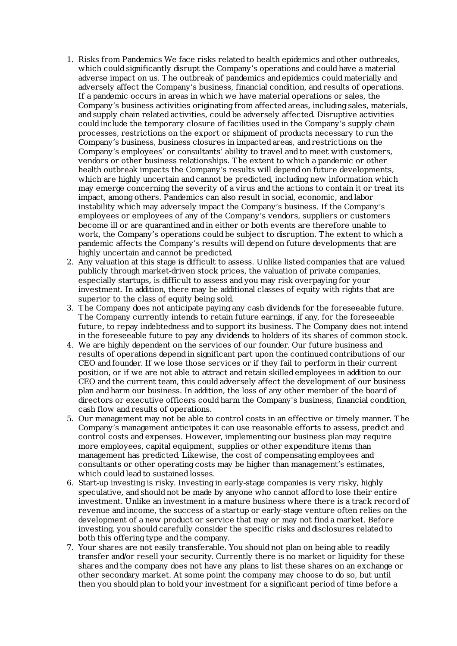- 1. Risks from Pandemics We face risks related to health epidemics and other outbreaks, which could significantly disrupt the Company's operations and could have a material adverse impact on us. The outbreak of pandemics and epidemics could materially and adversely affect the Company's business, financial condition, and results of operations. If a pandemic occurs in areas in which we have material operations or sales, the Company's business activities originating from affected areas, including sales, materials, and supply chain related activities, could be adversely affected. Disruptive activities could include the temporary closure of facilities used in the Company's supply chain processes, restrictions on the export or shipment of products necessary to run the Company's business, business closures in impacted areas, and restrictions on the Company's employees' or consultants' ability to travel and to meet with customers, vendors or other business relationships. The extent to which a pandemic or other health outbreak impacts the Company's results will depend on future developments, which are highly uncertain and cannot be predicted, including new information which may emerge concerning the severity of a virus and the actions to contain it or treat its impact, among others. Pandemics can also result in social, economic, and labor instability which may adversely impact the Company's business. If the Company's employees or employees of any of the Company's vendors, suppliers or customers become ill or are quarantined and in either or both events are therefore unable to work, the Company's operations could be subject to disruption. The extent to which a pandemic affects the Company's results will depend on future developments that are highly uncertain and cannot be predicted.
- 2. Any valuation at this stage is difficult to assess. Unlike listed companies that are valued publicly through market-driven stock prices, the valuation of private companies, especially startups, is difficult to assess and you may risk overpaying for your investment. In addition, there may be additional classes of equity with rights that are superior to the class of equity being sold.
- 3. The Company does not anticipate paying any cash dividends for the foreseeable future. The Company currently intends to retain future earnings, if any, for the foreseeable future, to repay indebtedness and to support its business. The Company does not intend in the foreseeable future to pay any dividends to holders of its shares of common stock.
- 4. We are highly dependent on the services of our founder. Our future business and results of operations depend in significant part upon the continued contributions of our CEO and founder. If we lose those services or if they fail to perform in their current position, or if we are not able to attract and retain skilled employees in addition to our CEO and the current team, this could adversely affect the development of our business plan and harm our business. In addition, the loss of any other member of the board of directors or executive officers could harm the Company's business, financial condition, cash flow and results of operations.
- 5. Our management may not be able to control costs in an effective or timely manner. The Company's management anticipates it can use reasonable efforts to assess, predict and control costs and expenses. However, implementing our business plan may require more employees, capital equipment, supplies or other expenditure items than management has predicted. Likewise, the cost of compensating employees and consultants or other operating costs may be higher than management's estimates, which could lead to sustained losses.
- 6. Start-up investing is risky. Investing in early-stage companies is very risky, highly speculative, and should not be made by anyone who cannot afford to lose their entire investment. Unlike an investment in a mature business where there is a track record of revenue and income, the success of a startup or early-stage venture often relies on the development of a new product or service that may or may not find a market. Before investing, you should carefully consider the specific risks and disclosures related to both this offering type and the company.
- 7. Your shares are not easily transferable. You should not plan on being able to readily transfer and/or resell your security. Currently there is no market or liquidity for these shares and the company does not have any plans to list these shares on an exchange or other secondary market. At some point the company may choose to do so, but until then you should plan to hold your investment for a significant period of time before a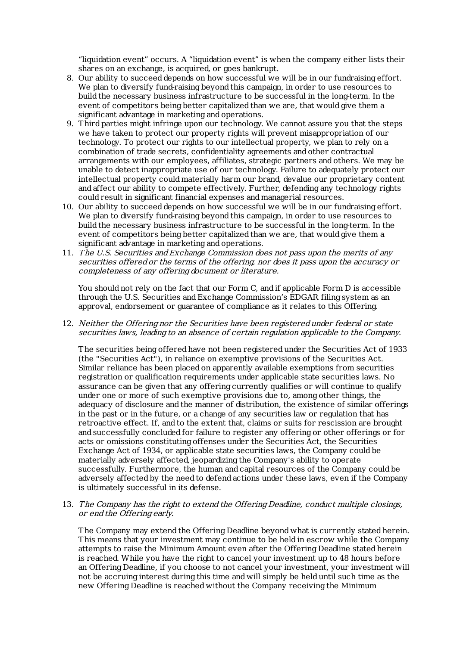"liquidation event" occurs. A "liquidation event" is when the company either lists their shares on an exchange, is acquired, or goes bankrupt.

- 8. Our ability to succeed depends on how successful we will be in our fundraising effort. We plan to diversify fund-raising beyond this campaign, in order to use resources to build the necessary business infrastructure to be successful in the long-term. In the event of competitors being better capitalized than we are, that would give them a significant advantage in marketing and operations.
- 9. Third parties might infringe upon our technology. We cannot assure you that the steps we have taken to protect our property rights will prevent misappropriation of our technology. To protect our rights to our intellectual property, we plan to rely on a combination of trade secrets, confidentiality agreements and other contractual arrangements with our employees, affiliates, strategic partners and others. We may be unable to detect inappropriate use of our technology. Failure to adequately protect our intellectual property could materially harm our brand, devalue our proprietary content and affect our ability to compete effectively. Further, defending any technology rights could result in significant financial expenses and managerial resources.
- 10. Our ability to succeed depends on how successful we will be in our fundraising effort. We plan to diversify fund-raising beyond this campaign, in order to use resources to build the necessary business infrastructure to be successful in the long-term. In the event of competitors being better capitalized than we are, that would give them a significant advantage in marketing and operations.
- 11. The U.S. Securities and Exchange Commission does not pass upon the merits of any securities offered or the terms of the offering, nor does it pass upon the accuracy or completeness of any offering document or literature.

You should not rely on the fact that our Form C, and if applicable Form D is accessible through the U.S. Securities and Exchange Commission's EDGAR filing system as an approval, endorsement or guarantee of compliance as it relates to this Offering.

12. Neither the Offering nor the Securities have been registered under federal or state securities laws, leading to an absence of certain regulation applicable to the Company.

The securities being offered have not been registered under the Securities Act of 1933 (the "Securities Act"), in reliance on exemptive provisions of the Securities Act. Similar reliance has been placed on apparently available exemptions from securities registration or qualification requirements under applicable state securities laws. No assurance can be given that any offering currently qualifies or will continue to qualify under one or more of such exemptive provisions due to, among other things, the adequacy of disclosure and the manner of distribution, the existence of similar offerings in the past or in the future, or a change of any securities law or regulation that has retroactive effect. If, and to the extent that, claims or suits for rescission are brought and successfully concluded for failure to register any offering or other offerings or for acts or omissions constituting offenses under the Securities Act, the Securities Exchange Act of 1934, or applicable state securities laws, the Company could be materially adversely affected, jeopardizing the Company's ability to operate successfully. Furthermore, the human and capital resources of the Company could be adversely affected by the need to defend actions under these laws, even if the Company is ultimately successful in its defense.

13. The Company has the right to extend the Offering Deadline, conduct multiple closings, or end the Offering early.

The Company may extend the Offering Deadline beyond what is currently stated herein. This means that your investment may continue to be held in escrow while the Company attempts to raise the Minimum Amount even after the Offering Deadline stated herein is reached. While you have the right to cancel your investment up to 48 hours before an Offering Deadline, if you choose to not cancel your investment, your investment will not be accruing interest during this time and will simply be held until such time as the new Offering Deadline is reached without the Company receiving the Minimum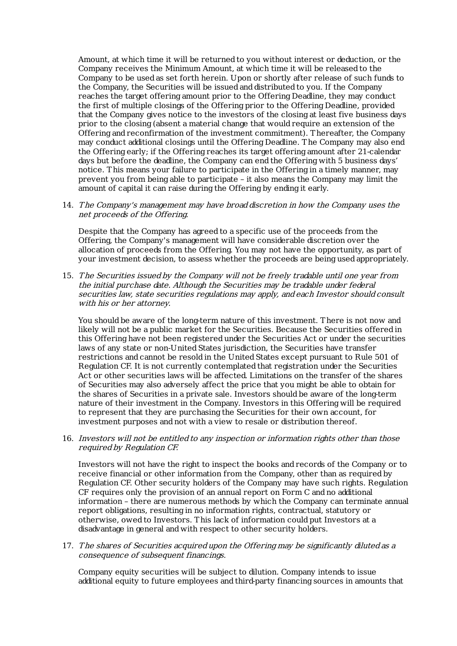Amount, at which time it will be returned to you without interest or deduction, or the Company receives the Minimum Amount, at which time it will be released to the Company to be used as set forth herein. Upon or shortly after release of such funds to the Company, the Securities will be issued and distributed to you. If the Company reaches the target offering amount prior to the Offering Deadline, they may conduct the first of multiple closings of the Offering prior to the Offering Deadline, provided that the Company gives notice to the investors of the closing at least five business days prior to the closing (absent a material change that would require an extension of the Offering and reconfirmation of the investment commitment). Thereafter, the Company may conduct additional closings until the Offering Deadline. The Company may also end the Offering early; if the Offering reaches its target offering amount after 21-calendar days but before the deadline, the Company can end the Offering with 5 business days' notice. This means your failure to participate in the Offering in a timely manner, may prevent you from being able to participate – it also means the Company may limit the amount of capital it can raise during the Offering by ending it early.

## 14. The Company's management may have broad discretion in how the Company uses the net proceeds of the Offering.

Despite that the Company has agreed to a specific use of the proceeds from the Offering, the Company's management will have considerable discretion over the allocation of proceeds from the Offering. You may not have the opportunity, as part of your investment decision, to assess whether the proceeds are being used appropriately.

15. The Securities issued by the Company will not be freely tradable until one year from the initial purchase date. Although the Securities may be tradable under federal securities law, state securities regulations may apply, and each Investor should consult with his or her attorney.

You should be aware of the long-term nature of this investment. There is not now and likely will not be a public market for the Securities. Because the Securities offered in this Offering have not been registered under the Securities Act or under the securities laws of any state or non-United States jurisdiction, the Securities have transfer restrictions and cannot be resold in the United States except pursuant to Rule 501 of Regulation CF. It is not currently contemplated that registration under the Securities Act or other securities laws will be affected. Limitations on the transfer of the shares of Securities may also adversely affect the price that you might be able to obtain for the shares of Securities in a private sale. Investors should be aware of the long-term nature of their investment in the Company. Investors in this Offering will be required to represent that they are purchasing the Securities for their own account, for investment purposes and not with a view to resale or distribution thereof.

16. Investors will not be entitled to any inspection or information rights other than those required by Regulation CF.

Investors will not have the right to inspect the books and records of the Company or to receive financial or other information from the Company, other than as required by Regulation CF. Other security holders of the Company may have such rights. Regulation CF requires only the provision of an annual report on Form C and no additional information – there are numerous methods by which the Company can terminate annual report obligations, resulting in no information rights, contractual, statutory or otherwise, owed to Investors. This lack of information could put Investors at a disadvantage in general and with respect to other security holders.

17. The shares of Securities acquired upon the Offering may be significantly diluted as a consequence of subsequent financings.

Company equity securities will be subject to dilution. Company intends to issue additional equity to future employees and third-party financing sources in amounts that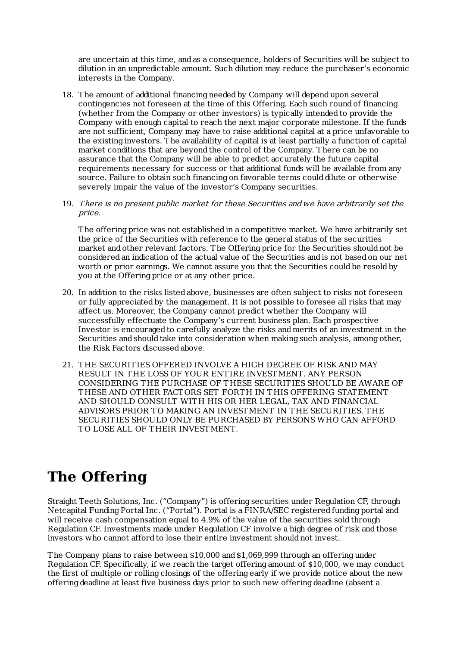are uncertain at this time, and as a consequence, holders of Securities will be subject to dilution in an unpredictable amount. Such dilution may reduce the purchaser's economic interests in the Company.

- 18. The amount of additional financing needed by Company will depend upon several contingencies not foreseen at the time of this Offering. Each such round of financing (whether from the Company or other investors) is typically intended to provide the Company with enough capital to reach the next major corporate milestone. If the funds are not sufficient, Company may have to raise additional capital at a price unfavorable to the existing investors. The availability of capital is at least partially a function of capital market conditions that are beyond the control of the Company. There can be no assurance that the Company will be able to predict accurately the future capital requirements necessary for success or that additional funds will be available from any source. Failure to obtain such financing on favorable terms could dilute or otherwise severely impair the value of the investor's Company securities.
- 19. There is no present public market for these Securities and we have arbitrarily set the price.

The offering price was not established in a competitive market. We have arbitrarily set the price of the Securities with reference to the general status of the securities market and other relevant factors. The Offering price for the Securities should not be considered an indication of the actual value of the Securities and is not based on our net worth or prior earnings. We cannot assure you that the Securities could be resold by you at the Offering price or at any other price.

- 20. In addition to the risks listed above, businesses are often subject to risks not foreseen or fully appreciated by the management. It is not possible to foresee all risks that may affect us. Moreover, the Company cannot predict whether the Company will successfully effectuate the Company's current business plan. Each prospective Investor is encouraged to carefully analyze the risks and merits of an investment in the Securities and should take into consideration when making such analysis, among other, the Risk Factors discussed above.
- 21. THE SECURITIES OFFERED INVOLVE A HIGH DEGREE OF RISK AND MAY RESULT IN THE LOSS OF YOUR ENTIRE INVESTMENT. ANY PERSON CONSIDERING THE PURCHASE OF THESE SECURITIES SHOULD BE AWARE OF THESE AND OTHER FACT ORS SET FORTH IN THIS OFFERING STATEMENT AND SHOULD CONSULT WITH HIS OR HER LEGAL, TAX AND FINANCIAL ADVISORS PRIOR TO MAKING AN INVESTMENT IN THE SECURITIES. THE SECURITIES SHOULD ONLY BE PURCHASED BY PERSONS WHO CAN AFFORD TO LOSE ALL OF THEIR INVESTMENT.

# **The Offering**

Straight Teeth Solutions, Inc. ("Company") is offering securities under Regulation CF, through Netcapital FundingPortal Inc. ("Portal"). Portal is a FINRA/SEC registered funding portal and will receive cash compensation equal to 4.9% of the value of the securities sold through Regulation CF. Investments made under Regulation CF involve a high degree of risk and those investors who cannot afford to lose their entire investment should not invest.

The Company plans to raise between \$10,000 and \$1,069,999 through an offering under Regulation CF. Specifically, if we reach the target offering amount of \$10,000, we may conduct the first of multiple or rolling closings of the offering early if we provide notice about the new offering deadline at least five business days prior to such new offering deadline (absent a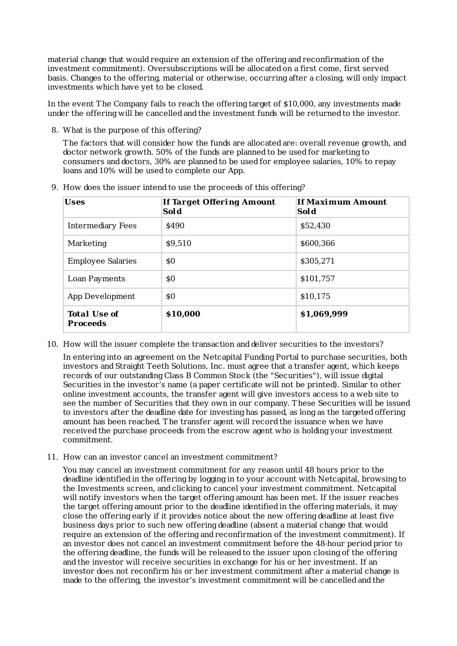material change that would require an extension of the offering and reconfirmation of the investment commitment). Oversubscriptions will be allocated on a first come, first served basis. Changes to the offering, material or otherwise, occurring after a closing, will only impact investments which have yet to be closed.

In the event The Company fails to reach the offering target of \$10,000, any investments made under the offering will be cancelled and the investment funds will be returned to the investor.

8. What is the purpose of this offering?

The factors that will consider how the funds are allocated are: overall revenue growth, and doctor network growth. 50% of the funds are planned to be used for marketing to consumers and doctors, 30% are planned to be used for employee salaries, 10% to repay loans and 10% will be used to complete our App.

9. How does the issuer intend to use the proceeds of this offering?

| <b>Uses</b>                            | If Target Offering Amount<br>Sol d | If Maximum Amount<br>Sol d |
|----------------------------------------|------------------------------------|----------------------------|
| Intermediary Fees                      | \$490                              | \$52,430                   |
| Marketing                              | \$9,510                            | \$600,366                  |
| <b>Employee Salaries</b>               | \$0                                | \$305,271                  |
| Loan Payments                          | \$0                                | \$101,757                  |
| App Development                        | \$0                                | \$10,175                   |
| <b>Total Use of</b><br><b>Proceeds</b> | \$10,000                           | \$1,069,999                |

10. How will the issuer complete the transaction and deliver securities to the investors?

In entering into an agreement on the Netcapital FundingPortal to purchase securities, both investors and Straight Teeth Solutions, Inc. must agree that a transfer agent, which keeps records of our outstanding Class B Common Stock (the "Securities"), will issue digital Securities in the investor's name (a paper certificate will not be printed). Similar to other online investment accounts, the transfer agent will give investors access to a web site to see the number of Securities that they own in our company. These Securities will be issued to investors after the deadline date for investing has passed, as long as the targeted offering amount has been reached. The transfer agent will record the issuance when we have received the purchase proceeds from the escrow agent who is holding your investment commitment.

11. How can an investor cancel an investment commitment?

You may cancel an investment commitment for any reason until 48 hours prior to the deadline identified in the offering by logging in to your account with Netcapital, browsing to the Investments screen, and clicking to cancel your investment commitment. Netcapital will notify investors when the target offering amount has been met. If the issuer reaches the target offering amount prior to the deadline identified in the offering materials, it may close the offering early if it provides notice about the new offering deadline at least five business days prior to such new offering deadline (absent a material change that would require an extension of the offering and reconfirmation of the investment commitment). If an investor does not cancel an investment commitment before the 48-hour period prior to the offering deadline, the funds will be released to the issuer upon closing of the offering and the investor will receive securities in exchange for his or her investment. If an investor does not reconfirm his or her investment commitment after a material change is made to the offering, the investor's investment commitment will be cancelled and the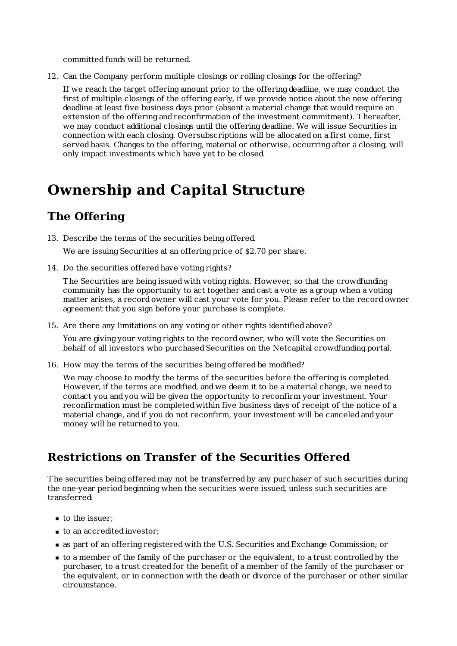committed funds will be returned.

12. Can the Company perform multiple closings or rolling closings for the offering?

If we reach the target offering amount prior to the offering deadline, we may conduct the first of multiple closings of the offering early, if we provide notice about the new offering deadline at least five business days prior (absent a material change that would require an extension of the offering and reconfirmation of the investment commitment). Thereafter, we may conduct additional closings until the offering deadline. We will issue Securities in connection with each closing. Oversubscriptions will be allocated on a first come, first served basis. Changes to the offering, material or otherwise, occurring after a closing, will only impact investments which have yet to be closed.

# **Ownership and Capital Structure**

# **The Offering**

13. Describe the terms of the securities being offered.

We are issuing Securities at an offering price of \$2.70 per share.

14. Do the securities offered have voting rights?

The Securities are being issued with voting rights. However, so that the crowdfunding community has the opportunity to act together and cast a vote as a group when a voting matter arises, a record owner will cast your vote for you. Please refer to the record owner agreement that you sign before your purchase is complete.

15. Are there any limitations on any voting or other rights identified above?

You are giving your voting rights to the record owner, who will vote the Securities on behalf of all investors who purchased Securities on the Netcapital crowdfunding portal.

16. How may the terms of the securities being offered be modified?

We may choose to modify the terms of the securities before the offering is completed. However, if the terms are modified, and we deem it to be a material change, we need to contact you and you will be given the opportunity to reconfirm your investment. Your reconfirmation must be completed within five business days of receipt of the notice of a material change, and if you do not reconfirm, your investment will be canceled and your money will be returned to you.

# **Restrictions on Transfer of the Securities Offered**

The securities being offered may not be transferred by any purchaser of such securities during the one-year period beginning when the securities were issued, unless such securities are transferred:

- to the issuer;
- to an accredited investor;
- as part of an offering registered with the U.S. Securities and Exchange Commission; or
- to a member of the family of the purchaser or the equivalent, to a trust controlled by the purchaser, to a trust created for the benefit of a member of the family of the purchaser or the equivalent, or in connection with the death or divorce of the purchaser or other similar circumstance.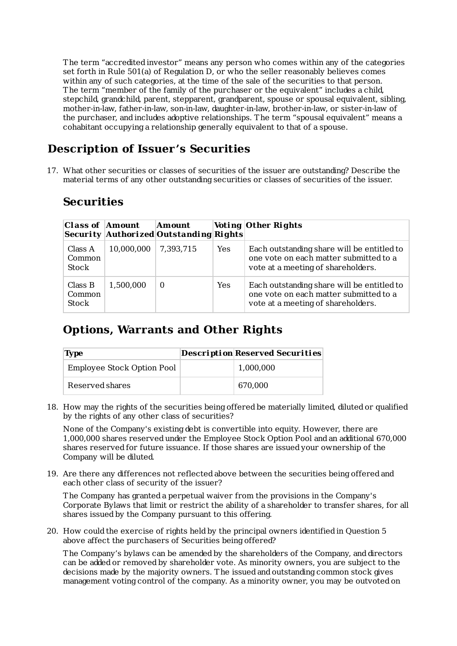The term "accredited investor" means any person who comes within any of the categories set forth in Rule 501(a) of Regulation D, or who the seller reasonably believes comes within any of such categories, at the time of the sale of the securities to that person. The term "member of the family of the purchaser or the equivalent" includes a child, stepchild, grandchild, parent, stepparent, grandparent, spouse or spousal equivalent, sibling, mother-in-law, father-in-law, son-in-law, daughter-in-law, brother-in-law, or sister-in-law of the purchaser, and includes adoptive relationships. The term "spousal equivalent" means a cohabitant occupying a relationship generally equivalent to that of a spouse.

# **Description of Issuer's Securities**

17. What other securities or classes of securities of the issuer are outstanding? Describe the material terms of any other outstanding securities or classes of securities of the issuer.

# **Securities**

| <b>Class of Amount</b>     |            | Amount<br>Security Authorized Outstanding Rights |            | Voting Other Rights                                                                                                        |
|----------------------------|------------|--------------------------------------------------|------------|----------------------------------------------------------------------------------------------------------------------------|
| Class A<br>Common<br>Stock | 10,000,000 | 7,393,715                                        | <b>Yes</b> | Each outstanding share will be entitled to<br>one vote on each matter submitted to a<br>vote at a meeting of shareholders. |
| Class B<br>Common<br>Stock | 1,500,000  | $\Omega$                                         | Yes        | Each outstanding share will be entitled to<br>one vote on each matter submitted to a<br>vote at a meeting of shareholders. |

# **Options, Warrants and Other Rights**

| Type                       | Description Reserved Securities |
|----------------------------|---------------------------------|
| Employee Stock Option Pool | 1,000,000                       |
| Reserved shares            | 670,000                         |

18. How may the rights of the securities being offered be materially limited, diluted or qualified by the rights of any other class of securities?

None of the Company's existing debt is convertible into equity. However, there are 1,000,000 shares reserved under the Employee Stock Option Pool and an additional 670,000 shares reserved for future issuance. If those shares are issued your ownership of the Company will be diluted.

19. Are there any differences not reflected above between the securities being offered and each other class of security of the issuer?

The Company has granted a perpetual waiver from the provisions in the Company's Corporate Bylaws that limit or restrict the ability of a shareholder to transfer shares, for all shares issued by the Company pursuant to this offering.

20. How could the exercise of rights held by the principal owners identified in Question 5 above affect the purchasers of Securities being offered?

The Company's bylaws can be amended by the shareholders of the Company, and directors can be added or removed by shareholder vote. As minority owners, you are subject to the decisions made by the majority owners. The issued and outstanding common stock gives management voting control of the company. As a minority owner, you may be outvoted on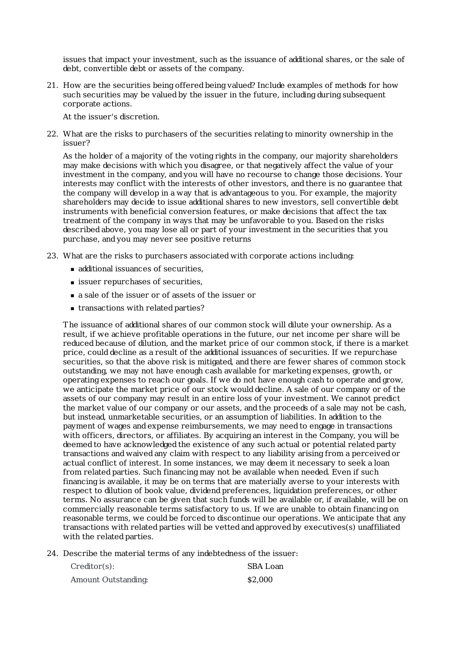issues that impact your investment, such as the issuance of additional shares, or the sale of debt, convertible debt or assets of the company.

21. How are the securities being offered being valued? Include examples of methods for how such securities may be valued by the issuer in the future, including during subsequent corporate actions.

At the issuer's discretion.

22. What are the risks to purchasers of the securities relating to minority ownership in the issuer?

As the holder of a majority of the voting rights in the company, our majority shareholders may make decisions with which you disagree, or that negatively affect the value of your investment in the company, and you will have no recourse to change those decisions. Your interests may conflict with the interests of other investors, and there is no guarantee that the company will develop in a way that is advantageous to you. For example, the majority shareholders may decide to issue additional shares to new investors, sell convertible debt instruments with beneficial conversion features, or make decisions that affect the tax treatment of the company in ways that may be unfavorable to you. Based on the risks described above, you may lose all or part of your investment in the securities that you purchase, and you may never see positive returns

- 23. What are the risks to purchasers associated with corporate actions including:
	- additional issuances of securities,
	- issuer repurchases of securities,
	- a sale of the issuer or of assets of the issuer or
	- transactions with related parties?

The issuance of additional shares of our common stock will dilute your ownership. As a result, if we achieve profitable operations in the future, our net income per share will be reduced because of dilution, and the market price of our common stock, if there is a market price, could decline as a result of the additional issuances of securities. If we repurchase securities, so that the above risk is mitigated, and there are fewer shares of common stock outstanding, we may not have enough cash available for marketing expenses, growth, or operating expenses to reach our goals. If we do not have enough cash to operate and grow, we anticipate the market price of our stock would decline. A sale of our company or of the assets of our company may result in an entire loss of your investment. We cannot predict the market value of our company or our assets, and the proceeds of a sale may not be cash, but instead, unmarketable securities, or an assumption of liabilities. In addition to the payment of wages and expense reimbursements, we may need to engage in transactions with officers, directors, or affiliates. By acquiring an interest in the Company, you will be deemed to have acknowledged the existence of any such actual or potential related party transactions and waived any claim with respect to any liability arising from a perceived or actual conflict of interest. In some instances, we may deem it necessary to seek a loan from related parties. Such financing may not be available when needed. Even if such financing is available, it may be on terms that are materially averse to your interests with respect to dilution of book value, dividend preferences, liquidation preferences, or other terms. No assurance can be given that such funds will be available or, if available, will be on commercially reasonable terms satisfactory to us. If we are unable to obtain financing on reasonable terms, we could be forced to discontinue our operations. We anticipate that any transactions with related parties will be vetted and approved by executives(s) unaffiliated with the related parties.

24. Describe the material terms of any indebtedness of the issuer:

| Creditor(s):        | SBA Loan |
|---------------------|----------|
| Amount Outstanding: | \$2,000  |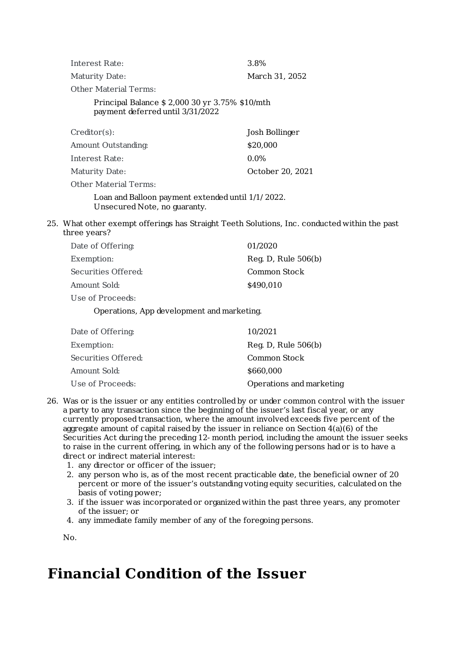| Interest Rate:                                 | 3.8%           |
|------------------------------------------------|----------------|
| Maturity Date:                                 | March 31, 2052 |
| Other Material Terms:                          |                |
| Principal Balance \$2,000 30 yr 3.75% \$10/mth |                |

payment deferred until 3/31/2022

| Creditor(s):          | Josh Bollinger   |
|-----------------------|------------------|
| Amount Outstanding:   | \$20,000         |
| Interest Rate:        | $0.0\%$          |
| Maturity Date:        | October 20, 2021 |
| Other Material Terms: |                  |

Loan and Balloon payment extended until 1/1/ 2022. Unsecured Note, no guaranty.

25. What other exempt offerings has Straight Teeth Solutions, Inc. conducted within the past three years?

| Date of Offering:   | 01/2020               |
|---------------------|-----------------------|
| Exemption:          | Reg. D, Rule $506(b)$ |
| Securities Offered: | Common Stock          |
| Amount Sold:        | \$490,010             |
| Use of Proceeds:    |                       |

Operations, App development and marketing.

| Date of Offering:   | 10/2021                  |
|---------------------|--------------------------|
| Exemption:          | Reg. D, Rule $506(b)$    |
| Securities Offered: | Common Stock             |
| Amount Sold:        | \$660,000                |
| Use of Proceeds:    | Operations and marketing |

- 26. Was or is the issuer or any entities controlled by or under common control with the issuer a party to any transaction since the beginning of the issuer's last fiscal year, or any currently proposed transaction, where the amount involved exceeds five percent of the aggregate amount of capital raised by the issuer in reliance on Section  $4(a)(6)$  of the Securities Act during the preceding 12- month period, including the amount the issuer seeks to raise in the current offering, in which any of the following persons had or is to have a direct or indirect material interest:
	- 1. any director or officer of the issuer;
	- 2. any person who is, as of the most recent practicable date, the beneficial owner of 20 percent or more of the issuer's outstanding voting equity securities, calculated on the basis of voting power;
	- 3. if the issuer was incorporated or organized within the past three years, any promoter of the issuer; or
	- 4. any immediate family member of any of the foregoing persons.

No.

# **Financial Condition of the Issuer**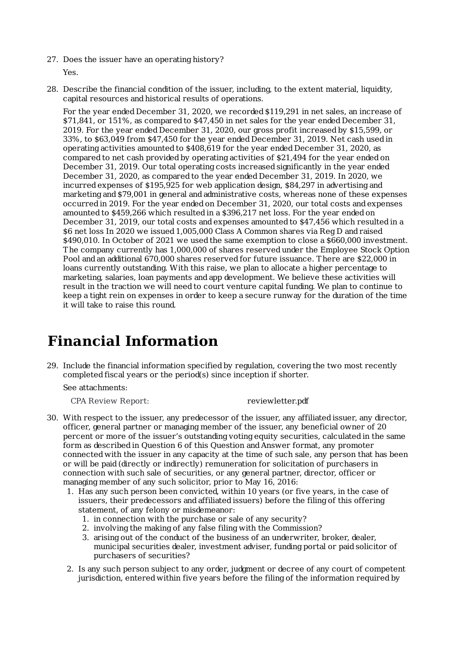27. Does the issuer have an operating history?

Yes.

28. Describe the financial condition of the issuer, including, to the extent material, liquidity, capital resources and historical results of operations.

For the year ended December 31, 2020, we recorded \$119,291 in net sales, an increase of \$71,841, or 151%, as compared to \$47,450 in net sales for the year ended December 31, 2019. For the year ended December 31, 2020, our gross profit increased by \$15,599, or 33%, to \$63,049 from \$47,450 for the year ended December 31, 2019. Net cash used in operating activities amounted to \$408,619 for the year ended December 31, 2020, as compared to net cash provided by operating activities of \$21,494 for the year ended on December 31, 2019. Our total operating costs increased significantly in the year ended December 31, 2020, as compared to the year ended December 31, 2019. In 2020, we incurred expenses of \$195,925 for web application design, \$84,297 in advertising and marketing and \$79,001 in general and administrative costs, whereas none of these expenses occurred in 2019. For the year ended on December 31, 2020, our total costs and expenses amounted to \$459,266 which resulted in a \$396,217 net loss. For the year ended on December 31, 2019, our total costs and expenses amounted to \$47,456 which resulted in a \$6 net loss In 2020 we issued 1,005,000 Class A Common shares via Reg D and raised \$490,010. In October of 2021 we used the same exemption to close a \$660,000 investment. The company currently has 1,000,000 of shares reserved under the Employee Stock Option Pool and an additional 670,000 shares reserved for future issuance. There are \$22,000 in loans currently outstanding. With this raise, we plan to allocate a higher percentage to marketing, salaries, loan payments and app development. We believe these activities will result in the traction we will need to court venture capital funding. We plan to continue to keep a tight rein on expenses in order to keep a secure runway for the duration of the time it will take to raise this round.

# **Financial Information**

29. Include the financial information specified by regulation, covering the two most recently completed fiscal years or the period(s) since inception if shorter.

See attachments:

CPA Review Report:

reviewletter.pdf

- 30. With respect to the issuer, any predecessor of the issuer, any affiliated issuer, any director, officer, general partner or managing member of the issuer, any beneficial owner of 20 percent or more of the issuer's outstanding voting equity securities, calculated in the same form as described in Question 6 of this Question and Answer format, any promoter connected with the issuer in any capacity at the time of such sale, any person that has been or will be paid (directly or indirectly) remuneration for solicitation of purchasers in connection with such sale of securities, or any general partner, director, officer or managing member of any such solicitor, prior to May 16, 2016:
	- 1. Has any such person been convicted, within 10 years (or five years, in the case of issuers, their predecessors and affiliated issuers) before the filing of this offering statement, of any felony or misdemeanor:
		- 1. in connection with the purchase or sale of any security?
		- 2. involving the making of any false filing with the Commission?
		- 3. arising out of the conduct of the business of an underwriter, broker, dealer, municipal securities dealer, investment adviser, funding portal or paid solicitor of purchasers of securities?
	- 2. Is any such person subject to any order, judgment or decree of any court of competent jurisdiction, entered within five years before the filing of the information required by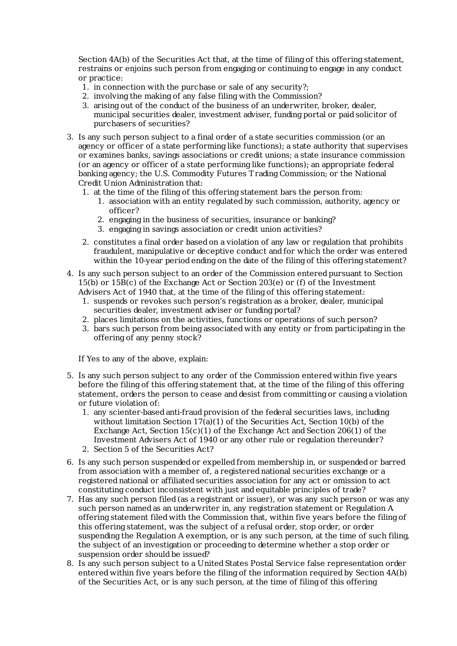Section 4A(b) of the Securities Act that, at the time of filing of this offering statement, restrains or enjoins such person from engaging or continuing to engage in any conduct or practice:

- 1. in connection with the purchase or sale of any security?;
- 2. involving the making of any false filing with the Commission?
- 3. arising out of the conduct of the business of an underwriter, broker, dealer, municipal securities dealer, investment adviser, funding portal or paid solicitor of purchasers of securities?
- 3. Is any such person subject to a final order of a state securities commission (or an agency or officer of a state performing like functions); a state authority that supervises or examines banks, savings associations or credit unions; a state insurance commission (or an agency or officer of a state performing like functions); an appropriate federal banking agency; the U.S. Commodity Futures Trading Commission; or the National Credit Union Administration that:
	- 1. at the time of the filing of this offering statement bars the person from:
		- 1. association with an entity regulated by such commission, authority, agency or officer?
		- 2. engaging in the business of securities, insurance or banking?
		- 3. engaging in savings association or credit union activities?
	- 2. constitutes a final order based on a violation of any law or regulation that prohibits fraudulent, manipulative or deceptive conduct and for which the order was entered within the 10-year period ending on the date of the filing of this offering statement?
- 4. Is any such person subject to an order of the Commission entered pursuant to Section 15(b) or 15B(c) of the Exchange Act or Section 203(e) or (f) of the Investment Advisers Act of 1940 that, at the time of the filing of this offering statement:
	- 1. suspends or revokes such person's registration as a broker, dealer, municipal securities dealer, investment adviser or funding portal?
	- 2. places limitations on the activities, functions or operations of such person?
	- 3. bars such person from being associated with any entity or from participating in the offering of any penny stock?

If Yes to any of the above, explain:

- 5. Is any such person subject to any order of the Commission entered within five years before the filing of this offering statement that, at the time of the filing of this offering statement, orders the person to cease and desist from committing or causing a violation or future violation of:
	- 1. any scienter-based anti-fraud provision of the federal securities laws, including without limitation Section  $17(a)(1)$  of the Securities Act, Section  $10(b)$  of the Exchange Act, Section  $15(c)(1)$  of the Exchange Act and Section 206(1) of the Investment Advisers Act of 1940 or any other rule or regulation thereunder?
	- 2. Section 5 of the Securities Act?
- 6. Is any such person suspended or expelled from membership in, or suspended or barred from association with a member of, a registered national securities exchange or a registered national or affiliated securities association for any act or omission to act constituting conduct inconsistent with just and equitable principles of trade?
- 7. Has any such person filed (as a registrant or issuer), or was any such person or was any such person named as an underwriter in, any registration statement or Regulation A offering statement filed with the Commission that, within five years before the filing of this offering statement, was the subject of a refusal order, stop order, or order suspending the Regulation A exemption, or is any such person, at the time of such filing, the subject of an investigation or proceeding to determine whether a stop order or suspension order should be issued?
- 8. Is any such person subject to a United States Postal Service false representation order entered within five years before the filing of the information required by Section 4A(b) of the Securities Act, or is any such person, at the time of filing of this offering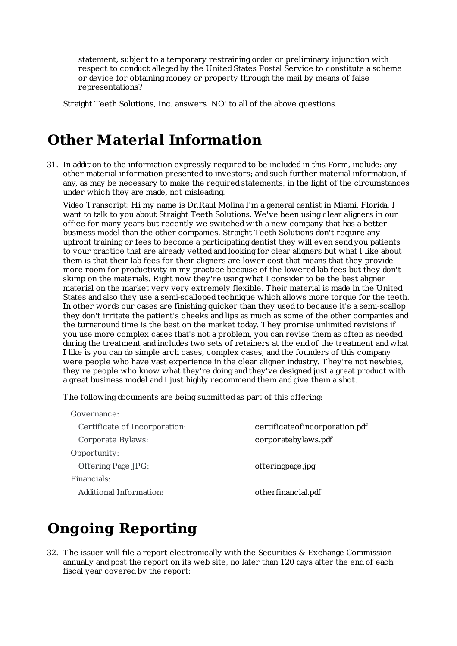statement, subject to a temporary restraining order or preliminary injunction with respect to conduct alleged by the UnitedStates Postal Service to constitute a scheme or device for obtaining money or property through the mail by means of false representations?

Straight Teeth Solutions, Inc. answers 'NO' to all of the above questions.

# **Other Material Information**

31. In addition to the information expressly required to be included in this Form, include: any other material information presented to investors; and such further material information, if any, as may be necessary to make the required statements, in the light of the circumstances under which they are made, not misleading.

Video Transcript: Hi my name is Dr.Raul Molina I'm a general dentist in Miami, Florida. I want to talk to you about Straight Teeth Solutions. We've been using clear aligners in our office for many years but recently we switched with a new company that has a better business model than the other companies. Straight Teeth Solutions don't require any upfront training or fees to become a participating dentist they will even send you patients to your practice that are already vetted and looking for clear aligners but what I like about them is that their lab fees for their aligners are lower cost that means that they provide more room for productivity in my practice because of the lowered lab fees but they don't skimp on the materials. Right now they're using what I consider to be the best aligner material on the market very very extremely flexible. Their material is made in the United States and also they use a semi-scalloped technique which allows more torque for the teeth. In other words our cases are finishing quicker than they used to because it's a semi-scallop they don't irritate the patient's cheeks and lips as much as some of the other companies and the turnaround time is the best on the market today. They promise unlimited revisions if you use more complex cases that's not a problem, you can revise them as often as needed during the treatment and includes two sets of retainers at the end of the treatment and what I like is you can do simple arch cases, complex cases, and the founders of this company were people who have vast experience in the clear aligner industry. They're not newbies, they're people who know what they're doing and they've designed just a great product with a great business model and I just highly recommend them and give them a shot.

The following documents are being submitted as part of this offering:

| Governance:                   |                                  |
|-------------------------------|----------------------------------|
| Certificate of Incorporation: | certificate of incorporation.pdf |
| Corporate Bylaws:             | corporate by laws.pdf            |
| Opportunity:                  |                                  |
| Offering Page JPG:            | offeringpage.jpg                 |
| Financials:                   |                                  |
| Additional Information:       | otherfinancial.pdf               |

# **Ongoing Reporting**

32. The issuer will file a report electronically with the Securities & Exchange Commission annually and post the report on its web site, no later than 120 days after the end of each fiscal year covered by the report: